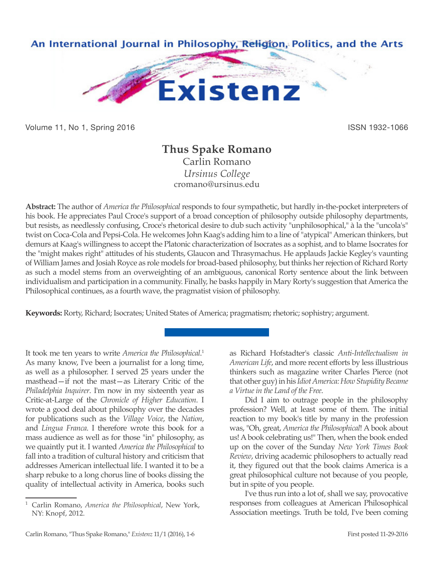

Volume 11, No 1, Spring 2016 **ISSN 1932-1066** ISSN 1932-1066

# **Thus Spake Romano**

Carlin Romano *Ursinus College* cromano@ursinus.edu

**Abstract:** The author of *America the Philosophical* responds to four sympathetic, but hardly in-the-pocket interpreters of his book. He appreciates Paul Croce's support of a broad conception of philosophy outside philosophy departments, but resists, as needlessly confusing, Croce's rhetorical desire to dub such activity "unphilosophical," à la the "uncola's" twist on Coca-Cola and Pepsi-Cola. He welcomes John Kaag's adding him to a line of "atypical" American thinkers, but demurs at Kaag's willingness to accept the Platonic characterization of Isocrates as a sophist, and to blame Isocrates for the "might makes right" attitudes of his students, Glaucon and Thrasymachus. He applauds Jackie Kegley's vaunting of William James and Josiah Royce as role models for broad-based philosophy, but thinks her rejection of Richard Rorty as such a model stems from an overweighting of an ambiguous, canonical Rorty sentence about the link between individualism and participation in a community. Finally, he basks happily in Mary Rorty's suggestion that America the Philosophical continues, as a fourth wave, the pragmatist vision of philosophy.

**Keywords:** Rorty, Richard; Isocrates; United States of America; pragmatism; rhetoric; sophistry; argument.

It took me ten years to write *America the Philosophical*. 1 As many know, I've been a journalist for a long time, as well as a philosopher. I served 25 years under the masthead—if not the mast—as Literary Critic of the *Philadelphia Inquirer*. I'm now in my sixteenth year as Critic-at-Large of the *Chronicle of Higher Education*. I wrote a good deal about philosophy over the decades for publications such as the *Village Voice*, the *Nation*, and *Lingua Franca*. I therefore wrote this book for a mass audience as well as for those "in" philosophy, as we quaintly put it. I wanted *America the Philosophical* to fall into a tradition of cultural history and criticism that addresses American intellectual life. I wanted it to be a sharp rebuke to a long chorus line of books dissing the quality of intellectual activity in America, books such as Richard Hofstadter's classic *Anti-Intellectualism in American Life*, and more recent efforts by less illustrious thinkers such as magazine writer Charles Pierce (not that other guy) in his *Idiot America: How Stupidity Became a Virtue in the Land of the Free*.

Did I aim to outrage people in the philosophy profession? Well, at least some of them. The initial reaction to my book's title by many in the profession was, "Oh, great, *America the Philosophical*! A book about us! A book celebrating us!" Then, when the book ended up on the cover of the Sunday *New York Times Book Review*, driving academic philosophers to actually read it, they figured out that the book claims America is a great philosophical culture not because of you people, but in spite of you people.

I've thus run into a lot of, shall we say, provocative responses from colleagues at American Philosophical Association meetings. Truth be told, I've been coming

<sup>1</sup> Carlin Romano, *America the Philosophical*, New York, NY: Knopf, 2012.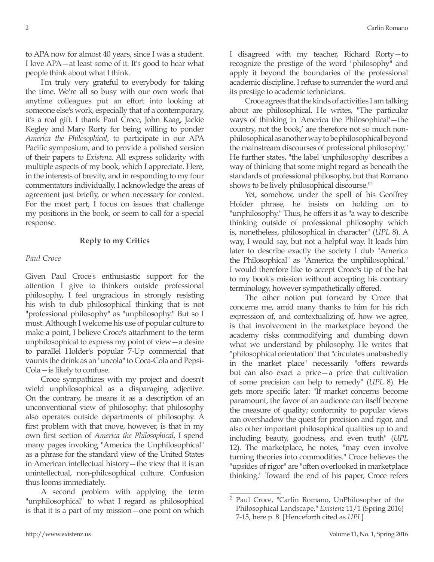to APA now for almost 40 years, since I was a student. I love APA—at least some of it. It's good to hear what people think about what I think.

I'm truly very grateful to everybody for taking the time. We're all so busy with our own work that anytime colleagues put an effort into looking at someone else's work, especially that of a contemporary, it's a real gift. I thank Paul Croce, John Kaag, Jackie Kegley and Mary Rorty for being willing to ponder *America the Philosophical*, to participate in our APA Pacific symposium, and to provide a polished version of their papers to *Existenz*. All express solidarity with multiple aspects of my book, which I appreciate. Here, in the interests of brevity, and in responding to my four commentators individually, I acknowledge the areas of agreement just briefly, or when necessary for context. For the most part, I focus on issues that challenge my positions in the book, or seem to call for a special response.

## **Reply to my Critics**

### *Paul Croce*

Given Paul Croce's enthusiastic support for the attention I give to thinkers outside professional philosophy, I feel ungracious in strongly resisting his wish to dub philosophical thinking that is not "professional philosophy" as "unphilosophy." But so I must. Although I welcome his use of popular culture to make a point, I believe Croce's attachment to the term unphilosophical to express my point of view—a desire to parallel Holder's popular 7-Up commercial that vaunts the drink as an "uncola" to Coca-Cola and Pepsi-Cola—is likely to confuse.

Croce sympathizes with my project and doesn't wield unphilosophical as a disparaging adjective. On the contrary, he means it as a description of an unconventional view of philosophy: that philosophy also operates outside departments of philosophy. A first problem with that move, however, is that in my own first section of *America the Philosophical*, I spend many pages invoking "America the Unphilosophical" as a phrase for the standard view of the United States in American intellectual history—the view that it is an unintellectual, non-philosophical culture. Confusion thus looms immediately.

A second problem with applying the term "unphilosophical" to what I regard as philosophical is that it is a part of my mission—one point on which I disagreed with my teacher, Richard Rorty—to recognize the prestige of the word "philosophy" and apply it beyond the boundaries of the professional academic discipline. I refuse to surrender the word and its prestige to academic technicians.

Croce agrees that the kinds of activities I am talking about are philosophical. He writes, "The particular ways of thinking in 'America the Philosophical'—the country, not the book,' are therefore not so much nonphilosophical as another way to be philosophical beyond the mainstream discourses of professional philosophy." He further states, "the label 'unphilosophy' describes a way of thinking that some might regard as beneath the standards of professional philosophy, but that Romano shows to be lively philosophical discourse."2

Yet, somehow, under the spell of his Geoffrey Holder phrase, he insists on holding on to "unphilosophy." Thus, he offers it as "a way to describe thinking outside of professional philosophy which is, nonetheless, philosophical in character" (*UPL* 8). A way, I would say, but not a helpful way. It leads him later to describe exactly the society I dub "America the Philosophical" as "America the unphilosophical." I would therefore like to accept Croce's tip of the hat to my book's mission without accepting his contrary terminology, however sympathetically offered.

The other notion put forward by Croce that concerns me, amid many thanks to him for his rich expression of, and contextualizing of, how we agree, is that involvement in the marketplace beyond the academy risks commodifying and dumbing down what we understand by philosophy. He writes that "philosophical orientation" that "circulates unabashedly in the market place" necessarily "offers rewards but can also exact a price—a price that cultivation of some precision can help to remedy" (*UPL* 8). He gets more specific later: "If market concerns become paramount, the favor of an audience can itself become the measure of quality; conformity to popular views can overshadow the quest for precision and rigor, and also other important philosophical qualities up to and including beauty, goodness, and even truth" (*UPL* 12). The marketplace, he notes, "may even involve turning theories into commodities." Croce believes the "upsides of rigor" are "often overlooked in marketplace thinking." Toward the end of his paper, Croce refers

<sup>2</sup> Paul Croce, "Carlin Romano, UnPhilosopher of the Philosophical Landscape," *Existenz* 11/1 (Spring 2016) 7-15, here p. 8. [Henceforth cited as *UPL*]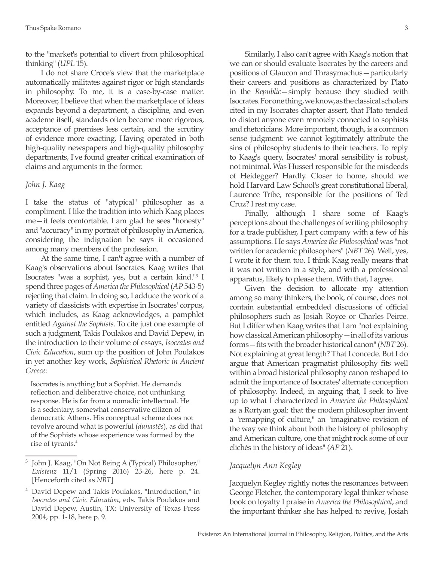to the "market's potential to divert from philosophical thinking" (*UPL* 15).

I do not share Croce's view that the marketplace automatically militates against rigor or high standards in philosophy. To me, it is a case-by-case matter. Moreover, I believe that when the marketplace of ideas expands beyond a department, a discipline, and even academe itself, standards often become more rigorous, acceptance of premises less certain, and the scrutiny of evidence more exacting. Having operated in both high-quality newspapers and high-quality philosophy departments, I've found greater critical examination of claims and arguments in the former.

#### *John J. Kaag*

I take the status of "atypical" philosopher as a compliment. I like the tradition into which Kaag places me—it feels comfortable. I am glad he sees "honesty" and "accuracy" in my portrait of philosophy in America, considering the indignation he says it occasioned among many members of the profession.

At the same time, I can't agree with a number of Kaag's observations about Isocrates. Kaag writes that Isocrates "was a sophist, yes, but a certain kind."3 I spend three pages of *America the Philosophical* (*AP* 543-5) rejecting that claim. In doing so, I adduce the work of a variety of classicists with expertise in Isocrates' corpus, which includes, as Kaag acknowledges, a pamphlet entitled *Against the Sophists*. To cite just one example of such a judgment, Takis Poulakos and David Depew, in the introduction to their volume of essays, *Isocrates and Civic Education*, sum up the position of John Poulakos in yet another key work, *Sophistical Rhetoric in Ancient Greece*:

Isocrates is anything but a Sophist. He demands reflection and deliberative choice, not unthinking response. He is far from a nomadic intellectual. He is a sedentary, somewhat conservative citizen of democratic Athens. His conceptual scheme does not revolve around what is powerful (*dunastēs*), as did that of the Sophists whose experience was formed by the rise of tyrants.4

Similarly, I also can't agree with Kaag's notion that we can or should evaluate Isocrates by the careers and positions of Glaucon and Thrasymachus—particularly their careers and positions as characterized by Plato in the *Republic*—simply because they studied with Isocrates. For one thing, we know, as the classical scholars cited in my Isocrates chapter assert, that Plato tended to distort anyone even remotely connected to sophists and rhetoricians. More important, though, is a common sense judgment: we cannot legitimately attribute the sins of philosophy students to their teachers. To reply to Kaag's query, Isocrates' moral sensibility is robust, not minimal. Was Husserl responsible for the misdeeds of Heidegger? Hardly. Closer to home, should we hold Harvard Law School's great constitutional liberal, Laurence Tribe, responsible for the positions of Ted Cruz? I rest my case.

Finally, although I share some of Kaag's perceptions about the challenges of writing philosophy for a trade publisher, I part company with a few of his assumptions. He says *America the Philosophical* was "not written for academic philosophers" (*NBT* 26). Well, yes, I wrote it for them too. I think Kaag really means that it was not written in a style, and with a professional apparatus, likely to please them. With that, I agree.

Given the decision to allocate my attention among so many thinkers, the book, of course, does not contain substantial embedded discussions of official philosophers such as Josiah Royce or Charles Peirce. But I differ when Kaag writes that I am "not explaining how classical American philosophy—in all of its various forms—fits with the broader historical canon" (*NBT* 26). Not explaining at great length? That I concede. But I do argue that American pragmatist philosophy fits well within a broad historical philosophy canon reshaped to admit the importance of Isocrates' alternate conception of philosophy. Indeed, in arguing that, I seek to live up to what I characterized in *America the Philosophical*  as a Rortyan goal: that the modern philosopher invent a "remapping of culture," an "imaginative revision of the way we think about both the history of philosophy and American culture, one that might rock some of our clichés in the history of ideas" (*AP* 21).

#### *Jacquelyn Ann Kegley*

Jacquelyn Kegley rightly notes the resonances between George Fletcher, the contemporary legal thinker whose book on loyalty I praise in *America the Philosophical*, and the important thinker she has helped to revive, Josiah

<sup>3</sup> John J. Kaag, "On Not Being A (Typical) Philosopher," *Existenz* 11/1 (Spring 2016) 23-26, here p. 24. [Henceforth cited as *NBT*]

<sup>4</sup> David Depew and Takis Poulakos, "Introduction," in *Isocrates and Civic Education*, eds. Takis Poulakos and David Depew, Austin, TX: University of Texas Press 2004, pp. 1-18, here p. 9.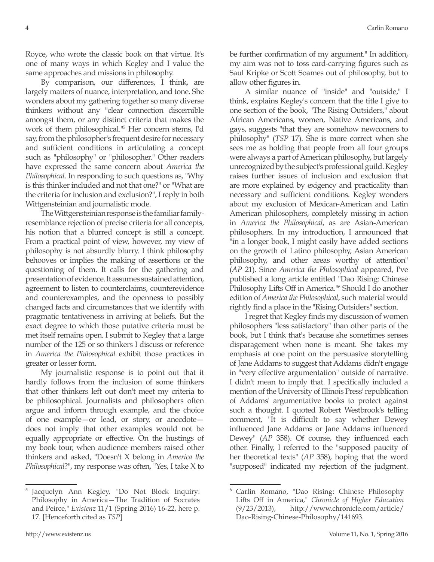Royce, who wrote the classic book on that virtue. It's one of many ways in which Kegley and I value the same approaches and missions in philosophy.

By comparison, our differences, I think, are largely matters of nuance, interpretation, and tone. She wonders about my gathering together so many diverse thinkers without any "clear connection discernible amongst them, or any distinct criteria that makes the work of them philosophical."5 Her concern stems, I'd say, from the philosopher's frequent desire for necessary and sufficient conditions in articulating a concept such as "philosophy" or "philosopher." Other readers have expressed the same concern about *America the Philosophical*. In responding to such questions as, "Why is this thinker included and not that one?" or "What are the criteria for inclusion and exclusion?", I reply in both Wittgensteinian and journalistic mode.

The Wittgensteinian response is the familiar familyresemblance rejection of precise criteria for all concepts, his notion that a blurred concept is still a concept. From a practical point of view, however, my view of philosophy is not absurdly blurry. I think philosophy behooves or implies the making of assertions or the questioning of them. It calls for the gathering and presentation of evidence. It assumes sustained attention, agreement to listen to counterclaims, counterevidence and counterexamples, and the openness to possibly changed facts and circumstances that we identify with pragmatic tentativeness in arriving at beliefs. But the exact degree to which those putative criteria must be met itself remains open. I submit to Kegley that a large number of the 125 or so thinkers I discuss or reference in *America the Philosophical* exhibit those practices in greater or lesser form.

My journalistic response is to point out that it hardly follows from the inclusion of some thinkers that other thinkers left out don't meet my criteria to be philosophical. Journalists and philosophers often argue and inform through example, and the choice of one example—or lead, or story, or anecdote does not imply that other examples would not be equally appropriate or effective. On the hustings of my book tour, when audience members raised other thinkers and asked, "Doesn't X belong in *America the Philosophical*?", my response was often, "Yes, I take X to

<sup>5</sup> Jacquelyn Ann Kegley, "Do Not Block Inquiry: Philosophy in America—The Tradition of Socrates and Peirce," *Existenz* 11/1 (Spring 2016) 16-22, here p. 17. [Henceforth cited as *TSP*]

be further confirmation of my argument." In addition, my aim was not to toss card-carrying figures such as Saul Kripke or Scott Soames out of philosophy, but to allow other figures in.

A similar nuance of "inside" and "outside," I think, explains Kegley's concern that the title I give to one section of the book, "The Rising Outsiders," about African Americans, women, Native Americans, and gays, suggests "that they are somehow newcomers to philosophy" (*TSP* 17). She is more correct when she sees me as holding that people from all four groups were always a part of American philosophy, but largely unrecognized by the subject's professional guild. Kegley raises further issues of inclusion and exclusion that are more explained by exigency and practicality than necessary and sufficient conditions. Kegley wonders about my exclusion of Mexican-American and Latin American philosophers, completely missing in action in *America the Philosophical*, as are Asian-American philosophers. In my introduction, I announced that "in a longer book, I might easily have added sections on the growth of Latino philosophy, Asian American philosophy, and other areas worthy of attention" (*AP* 21). Since *America the Philosophical* appeared, I've published a long article entitled "Dao Rising: Chinese Philosophy Lifts Off in America."6 Should I do another edition of *America the Philosophical*, such material would rightly find a place in the "Rising Outsiders" section.

I regret that Kegley finds my discussion of women philosophers "less satisfactory" than other parts of the book, but I think that's because she sometimes senses disparagement when none is meant. She takes my emphasis at one point on the persuasive storytelling of Jane Addams to suggest that Addams didn't engage in "very effective argumentation" outside of narrative. I didn't mean to imply that. I specifically included a mention of the University of Illinois Press' republication of Addams' argumentative books to protect against such a thought. I quoted Robert Westbrook's telling comment, "It is difficult to say whether Dewey influenced Jane Addams or Jane Addams influenced Dewey" (*AP* 358). Of course, they influenced each other. Finally, I referred to the "supposed paucity of her theoretical texts" (*AP* 358), hoping that the word "supposed" indicated my rejection of the judgment.

<sup>6</sup> Carlin Romano, "Dao Rising: Chinese Philosophy Lifts Off in America," *Chronicle of Higher Education* (9/23/2013), http://www.chronicle.com/article/ Dao-Rising-Chinese-Philosophy/141693.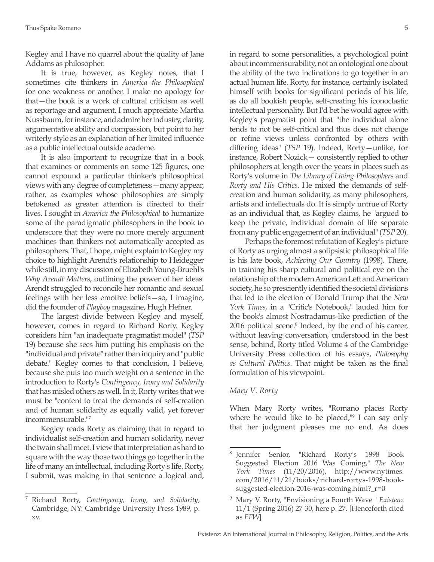Kegley and I have no quarrel about the quality of Jane Addams as philosopher.

It is true, however, as Kegley notes, that I sometimes cite thinkers in *America the Philosophical*  for one weakness or another. I make no apology for that—the book is a work of cultural criticism as well as reportage and argument. I much appreciate Martha Nussbaum, for instance, and admire her industry, clarity, argumentative ability and compassion, but point to her writerly style as an explanation of her limited influence as a public intellectual outside academe.

It is also important to recognize that in a book that examines or comments on some 125 figures, one cannot expound a particular thinker's philosophical views with any degree of completeness—many appear, rather, as examples whose philosophies are simply betokened as greater attention is directed to their lives. I sought in *America the Philosophical* to humanize some of the paradigmatic philosophers in the book to underscore that they were no more merely argument machines than thinkers not automatically accepted as philosophers. That, I hope, might explain to Kegley my choice to highlight Arendt's relationship to Heidegger while still, in my discussion of Elizabeth Young-Bruehl's *Why Arendt Matters*, outlining the power of her ideas. Arendt struggled to reconcile her romantic and sexual feelings with her less emotive beliefs—so, I imagine, did the founder of *Playboy* magazine, Hugh Hefner.

The largest divide between Kegley and myself, however, comes in regard to Richard Rorty. Kegley considers him "an inadequate pragmatist model" (*TSP*  19) because she sees him putting his emphasis on the "individual and private" rather than inquiry and "public debate." Kegley comes to that conclusion, I believe, because she puts too much weight on a sentence in the introduction to Rorty's *Contingency, Irony and Solidarity* that has misled others as well. In it, Rorty writes that we must be "content to treat the demands of self-creation and of human solidarity as equally valid, yet forever incommensurable."7

Kegley reads Rorty as claiming that in regard to individualist self-creation and human solidarity, never the twain shall meet. I view that interpretation as hard to square with the way those two things go together in the life of many an intellectual, including Rorty's life. Rorty, I submit, was making in that sentence a logical and, in regard to some personalities, a psychological point about incommensurability, not an ontological one about the ability of the two inclinations to go together in an actual human life. Rorty, for instance, certainly isolated himself with books for significant periods of his life, as do all bookish people, self-creating his iconoclastic intellectual personality. But I'd bet he would agree with Kegley's pragmatist point that "the individual alone tends to not be self-critical and thus does not change or refine views unless confronted by others with differing ideas" (*TSP* 19). Indeed, Rorty—unlike, for instance, Robert Nozick— consistently replied to other philosophers at length over the years in places such as Rorty's volume in *The Library of Living Philosophers* and *Rorty and His Critics*. He mixed the demands of selfcreation and human solidarity, as many philosophers, artists and intellectuals do. It is simply untrue of Rorty as an individual that, as Kegley claims, he "argued to keep the private, individual domain of life separate from any public engagement of an individual" (*TSP* 20).

Perhaps the foremost refutation of Kegley's picture of Rorty as urging almost a solipsistic philosophical life is his late book, *Achieving Our Country* (1998). There, in training his sharp cultural and political eye on the relationship of the modern American Left and American society, he so presciently identified the societal divisions that led to the election of Donald Trump that the *New York Times*, in a "Critic's Notebook," lauded him for the book's almost Nostradamus-like prediction of the 2016 political scene.<sup>8</sup> Indeed, by the end of his career, without leaving conversation, understood in the best sense, behind, Rorty titled Volume 4 of the Cambridge University Press collection of his essays, *Philosophy as Cultural Politics*. That might be taken as the final formulation of his viewpoint.

#### *Mary V. Rorty*

When Mary Rorty writes, "Romano places Rorty where he would like to be placed,<sup>119</sup> I can say only that her judgment pleases me no end. As does

<sup>7</sup> Richard Rorty, *Contingency, Irony, and Solidarity*, Cambridge, NY: Cambridge University Press 1989, p. xv.

<sup>8</sup> Jennifer Senior, "Richard Rorty's 1998 Book Suggested Election 2016 Was Coming," *The New York Times* (11/20/2016), http://www.nytimes. com/2016/11/21/books/richard-rortys-1998-booksuggested-election-2016-was-coming.html?\_r=0

<sup>9</sup> Mary V. Rorty, "Envisioning a Fourth Wave " *Existenz* 11/1 (Spring 2016) 27-30, here p. 27. [Henceforth cited as *EFW*]